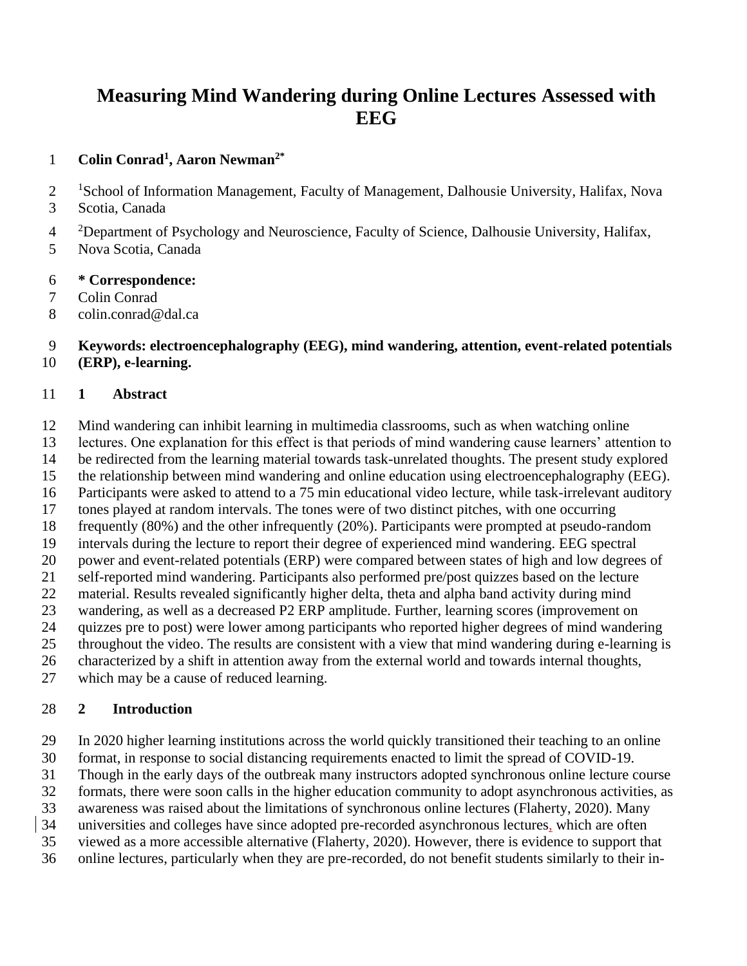# **Measuring Mind Wandering during Online Lectures Assessed with EEG**

### **Colin Conrad<sup>1</sup> , Aaron Newman2\***

- <sup>1</sup>School of Information Management, Faculty of Management, Dalhousie University, Halifax, Nova
- Scotia, Canada
- <sup>2</sup> Department of Psychology and Neuroscience, Faculty of Science, Dalhousie University, Halifax,
- Nova Scotia, Canada
- **\* Correspondence:**
- Colin Conrad
- colin.conrad@dal.ca

 **Keywords: electroencephalography (EEG), mind wandering, attention, event-related potentials (ERP), e-learning.**

### **1 Abstract**

- Mind wandering can inhibit learning in multimedia classrooms, such as when watching online
- lectures. One explanation for this effect is that periods of mind wandering cause learners' attention to
- be redirected from the learning material towards task-unrelated thoughts. The present study explored
- the relationship between mind wandering and online education using electroencephalography (EEG).
- Participants were asked to attend to a 75 min educational video lecture, while task-irrelevant auditory
- tones played at random intervals. The tones were of two distinct pitches, with one occurring
- frequently (80%) and the other infrequently (20%). Participants were prompted at pseudo-random
- intervals during the lecture to report their degree of experienced mind wandering. EEG spectral
- power and event-related potentials (ERP) were compared between states of high and low degrees of
- self-reported mind wandering. Participants also performed pre/post quizzes based on the lecture
- material. Results revealed significantly higher delta, theta and alpha band activity during mind
- wandering, as well as a decreased P2 ERP amplitude. Further, learning scores (improvement on quizzes pre to post) were lower among participants who reported higher degrees of mind wandering
- throughout the video. The results are consistent with a view that mind wandering during e-learning is
- characterized by a shift in attention away from the external world and towards internal thoughts,
- which may be a cause of reduced learning.

### **2 Introduction**

- In 2020 higher learning institutions across the world quickly transitioned their teaching to an online
- format, in response to social distancing requirements enacted to limit the spread of COVID-19.
- Though in the early days of the outbreak many instructors adopted synchronous online lecture course
- formats, there were soon calls in the higher education community to adopt asynchronous activities, as
- awareness was raised about the limitations of synchronous online lectures (Flaherty, 2020). Many
- universities and colleges have since adopted pre-recorded asynchronous lectures, which are often
- viewed as a more accessible alternative (Flaherty, 2020). However, there is evidence to support that
- online lectures, particularly when they are pre-recorded, do not benefit students similarly to their in-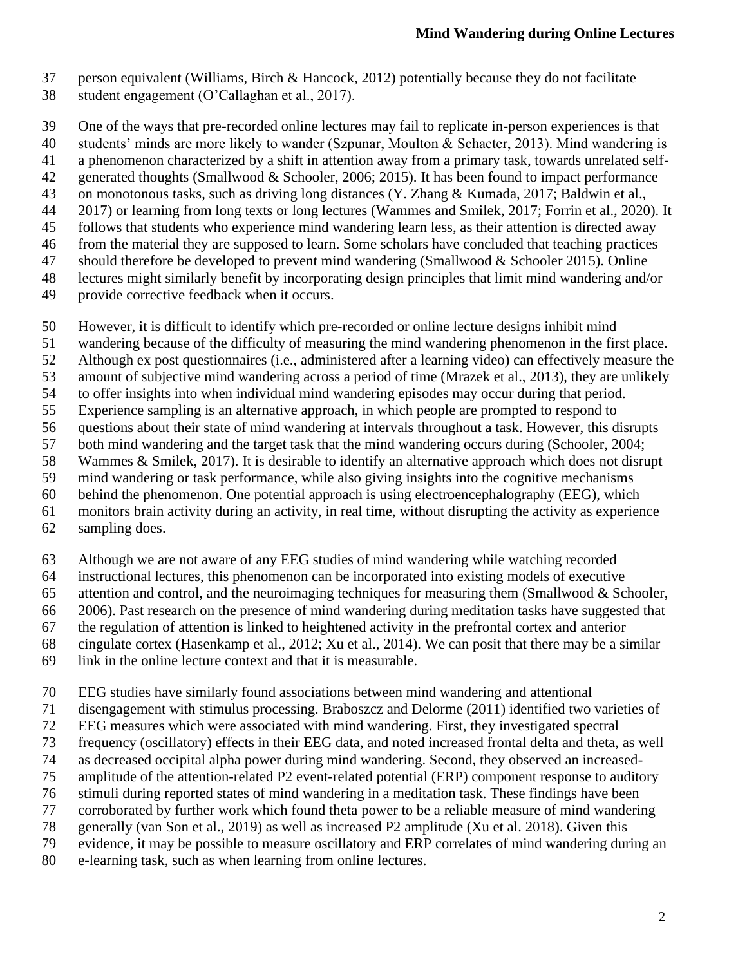- person equivalent (Williams, Birch & Hancock, 2012) potentially because they do not facilitate
- student engagement (O'Callaghan et al., 2017).

One of the ways that pre-recorded online lectures may fail to replicate in-person experiences is that

students' minds are more likely to wander (Szpunar, Moulton & Schacter, 2013). Mind wandering is

- a phenomenon characterized by a shift in attention away from a primary task, towards unrelated self-
- generated thoughts (Smallwood & Schooler, 2006; 2015). It has been found to impact performance
- on monotonous tasks, such as driving long distances (Y. Zhang & Kumada, 2017; Baldwin et al.,
- 2017) or learning from long texts or long lectures (Wammes and Smilek, 2017; Forrin et al., 2020). It
- follows that students who experience mind wandering learn less, as their attention is directed away from the material they are supposed to learn. Some scholars have concluded that teaching practices
- should therefore be developed to prevent mind wandering (Smallwood & Schooler 2015). Online
- lectures might similarly benefit by incorporating design principles that limit mind wandering and/or
- provide corrective feedback when it occurs.
- However, it is difficult to identify which pre-recorded or online lecture designs inhibit mind
- wandering because of the difficulty of measuring the mind wandering phenomenon in the first place.
- Although ex post questionnaires (i.e., administered after a learning video) can effectively measure the
- amount of subjective mind wandering across a period of time (Mrazek et al., 2013), they are unlikely
- to offer insights into when individual mind wandering episodes may occur during that period.
- Experience sampling is an alternative approach, in which people are prompted to respond to
- questions about their state of mind wandering at intervals throughout a task. However, this disrupts
- both mind wandering and the target task that the mind wandering occurs during (Schooler, 2004;
- Wammes & Smilek, 2017). It is desirable to identify an alternative approach which does not disrupt
- mind wandering or task performance, while also giving insights into the cognitive mechanisms
- behind the phenomenon. One potential approach is using electroencephalography (EEG), which monitors brain activity during an activity, in real time, without disrupting the activity as experience
- 
- sampling does.
- Although we are not aware of any EEG studies of mind wandering while watching recorded
- instructional lectures, this phenomenon can be incorporated into existing models of executive
- attention and control, and the neuroimaging techniques for measuring them (Smallwood & Schooler,
- 2006). Past research on the presence of mind wandering during meditation tasks have suggested that
- the regulation of attention is linked to heightened activity in the prefrontal cortex and anterior
- cingulate cortex (Hasenkamp et al., 2012; Xu et al., 2014). We can posit that there may be a similar
- link in the online lecture context and that it is measurable.
- EEG studies have similarly found associations between mind wandering and attentional
- disengagement with stimulus processing. Braboszcz and Delorme (2011) identified two varieties of
- EEG measures which were associated with mind wandering. First, they investigated spectral
- frequency (oscillatory) effects in their EEG data, and noted increased frontal delta and theta, as well
- as decreased occipital alpha power during mind wandering. Second, they observed an increased-
- amplitude of the attention-related P2 event-related potential (ERP) component response to auditory
- stimuli during reported states of mind wandering in a meditation task. These findings have been
- corroborated by further work which found theta power to be a reliable measure of mind wandering
- generally (van Son et al., 2019) as well as increased P2 amplitude (Xu et al. 2018). Given this
- evidence, it may be possible to measure oscillatory and ERP correlates of mind wandering during an
- e-learning task, such as when learning from online lectures.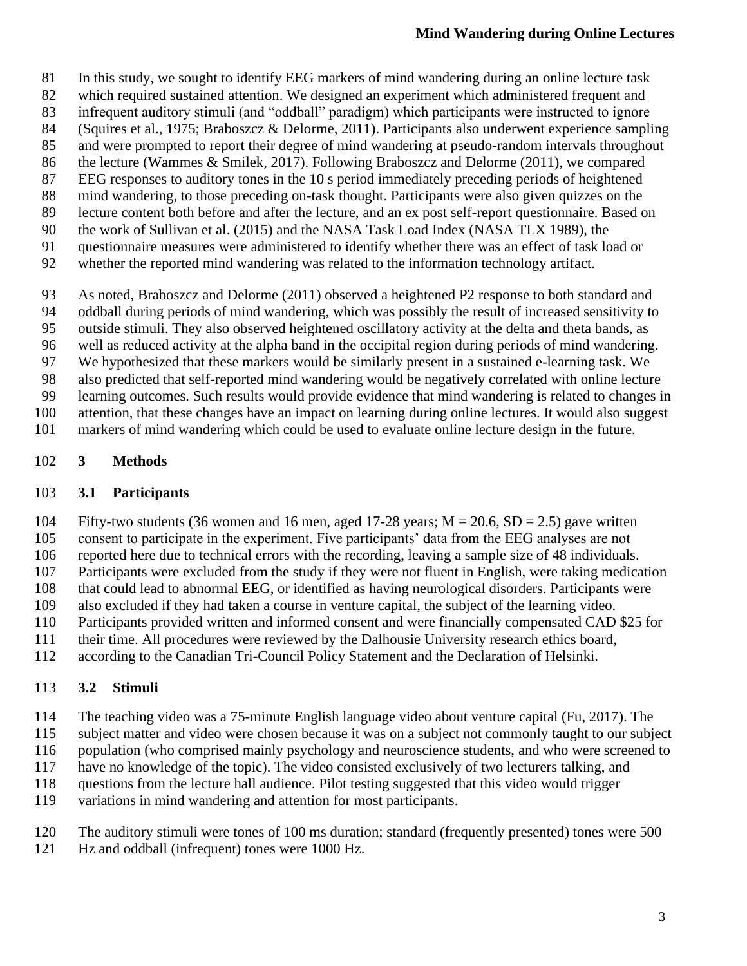- In this study, we sought to identify EEG markers of mind wandering during an online lecture task
- which required sustained attention. We designed an experiment which administered frequent and
- infrequent auditory stimuli (and "oddball" paradigm) which participants were instructed to ignore
- (Squires et al., 1975; Braboszcz & Delorme, 2011). Participants also underwent experience sampling
- and were prompted to report their degree of mind wandering at pseudo-random intervals throughout
- the lecture (Wammes & Smilek, 2017). Following Braboszcz and Delorme (2011), we compared
- EEG responses to auditory tones in the 10 s period immediately preceding periods of heightened mind wandering, to those preceding on-task thought. Participants were also given quizzes on the
- lecture content both before and after the lecture, and an ex post self-report questionnaire. Based on
- the work of Sullivan et al. (2015) and the NASA Task Load Index (NASA TLX 1989), the
- questionnaire measures were administered to identify whether there was an effect of task load or
- whether the reported mind wandering was related to the information technology artifact.
- As noted, Braboszcz and Delorme (2011) observed a heightened P2 response to both standard and
- oddball during periods of mind wandering, which was possibly the result of increased sensitivity to
- outside stimuli. They also observed heightened oscillatory activity at the delta and theta bands, as
- well as reduced activity at the alpha band in the occipital region during periods of mind wandering.
- We hypothesized that these markers would be similarly present in a sustained e-learning task. We
- also predicted that self-reported mind wandering would be negatively correlated with online lecture
- learning outcomes. Such results would provide evidence that mind wandering is related to changes in
- attention, that these changes have an impact on learning during online lectures. It would also suggest markers of mind wandering which could be used to evaluate online lecture design in the future.
- 

### **3 Methods**

### **3.1 Participants**

- 104 Fifty-two students (36 women and 16 men, aged 17-28 years;  $M = 20.6$ ,  $SD = 2.5$ ) gave written
- consent to participate in the experiment. Five participants' data from the EEG analyses are not
- reported here due to technical errors with the recording, leaving a sample size of 48 individuals.
- Participants were excluded from the study if they were not fluent in English, were taking medication
- 108 that could lead to abnormal EEG, or identified as having neurological disorders. Participants were<br>109 also excluded if they had taken a course in venture capital, the subject of the learning video.
- also excluded if they had taken a course in venture capital, the subject of the learning video.
- Participants provided written and informed consent and were financially compensated CAD \$25 for
- their time. All procedures were reviewed by the Dalhousie University research ethics board,
- according to the Canadian Tri-Council Policy Statement and the Declaration of Helsinki.

# **3.2 Stimuli**

- The teaching video was a 75-minute English language video about venture capital (Fu, 2017). The
- subject matter and video were chosen because it was on a subject not commonly taught to our subject
- 116 population (who comprised mainly psychology and neuroscience students, and who were screened to
- have no knowledge of the topic). The video consisted exclusively of two lecturers talking, and
- questions from the lecture hall audience. Pilot testing suggested that this video would trigger
- variations in mind wandering and attention for most participants.
- The auditory stimuli were tones of 100 ms duration; standard (frequently presented) tones were 500 Hz and oddball (infrequent) tones were 1000 Hz.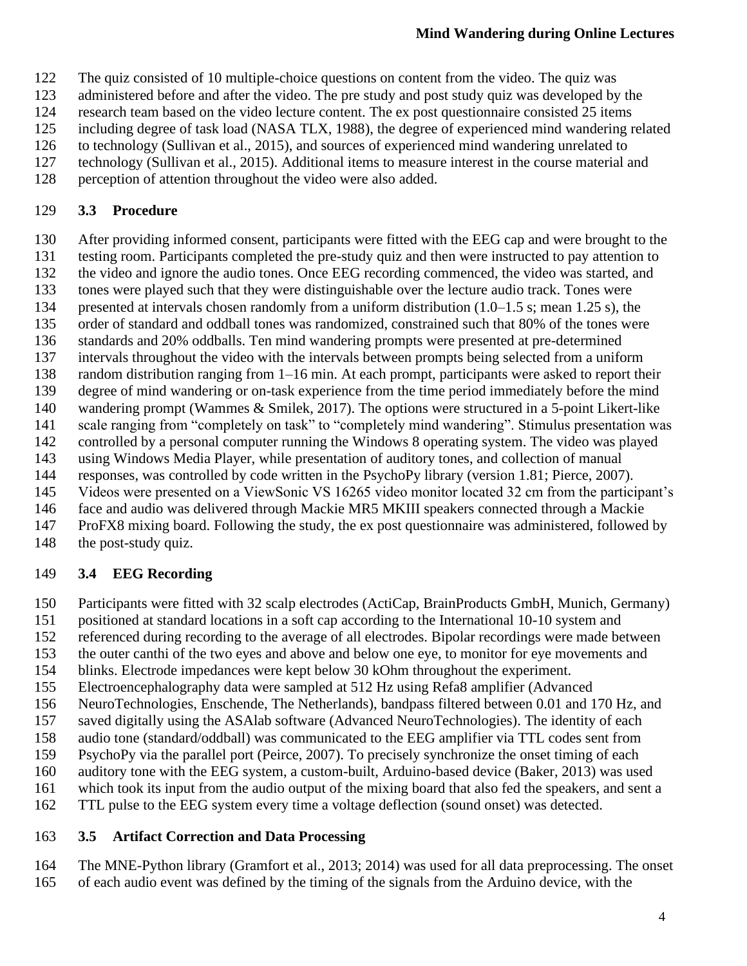- The quiz consisted of 10 multiple-choice questions on content from the video. The quiz was
- administered before and after the video. The pre study and post study quiz was developed by the
- research team based on the video lecture content. The ex post questionnaire consisted 25 items
- including degree of task load (NASA TLX, 1988), the degree of experienced mind wandering related
- to technology (Sullivan et al., 2015), and sources of experienced mind wandering unrelated to
- technology (Sullivan et al., 2015). Additional items to measure interest in the course material and
- perception of attention throughout the video were also added.

### **3.3 Procedure**

- After providing informed consent, participants were fitted with the EEG cap and were brought to the
- testing room. Participants completed the pre-study quiz and then were instructed to pay attention to
- 132 the video and ignore the audio tones. Once EEG recording commenced, the video was started, and<br>133 tones were played such that they were distinguishable over the lecture audio track. Tones were
- tones were played such that they were distinguishable over the lecture audio track. Tones were
- 134 presented at intervals chosen randomly from a uniform distribution (1.0–1.5 s; mean 1.25 s), the order of standard and oddball tones was randomized, constrained such that 80% of the tones were
- standards and 20% oddballs. Ten mind wandering prompts were presented at pre-determined
- intervals throughout the video with the intervals between prompts being selected from a uniform
- random distribution ranging from 1–16 min. At each prompt, participants were asked to report their
- degree of mind wandering or on-task experience from the time period immediately before the mind
- wandering prompt (Wammes & Smilek, 2017). The options were structured in a 5-point Likert-like
- scale ranging from "completely on task" to "completely mind wandering". Stimulus presentation was
- controlled by a personal computer running the Windows 8 operating system. The video was played
- using Windows Media Player, while presentation of auditory tones, and collection of manual
- responses, was controlled by code written in the PsychoPy library (version 1.81; Pierce, 2007).
- Videos were presented on a ViewSonic VS 16265 video monitor located 32 cm from the participant's
- face and audio was delivered through Mackie MR5 MKIII speakers connected through a Mackie
- ProFX8 mixing board. Following the study, the ex post questionnaire was administered, followed by
- 148 the post-study quiz.

### **3.4 EEG Recording**

- Participants were fitted with 32 scalp electrodes (ActiCap, BrainProducts GmbH, Munich, Germany)
- positioned at standard locations in a soft cap according to the International 10-10 system and
- referenced during recording to the average of all electrodes. Bipolar recordings were made between
- the outer canthi of the two eyes and above and below one eye, to monitor for eye movements and
- blinks. Electrode impedances were kept below 30 kOhm throughout the experiment.
- Electroencephalography data were sampled at 512 Hz using Refa8 amplifier (Advanced
- 156 NeuroTechnologies, Enschende, The Netherlands), bandpass filtered between 0.01 and 170 Hz, and<br>157 saved digitally using the ASAlab software (Advanced NeuroTechnologies). The identity of each
- saved digitally using the ASAlab software (Advanced NeuroTechnologies). The identity of each
- audio tone (standard/oddball) was communicated to the EEG amplifier via TTL codes sent from
- PsychoPy via the parallel port (Peirce, 2007). To precisely synchronize the onset timing of each
- auditory tone with the EEG system, a custom-built, Arduino-based device (Baker, 2013) was used
- which took its input from the audio output of the mixing board that also fed the speakers, and sent a
- TTL pulse to the EEG system every time a voltage deflection (sound onset) was detected.

### **3.5 Artifact Correction and Data Processing**

- The MNE-Python library (Gramfort et al., 2013; 2014) was used for all data preprocessing. The onset
- of each audio event was defined by the timing of the signals from the Arduino device, with the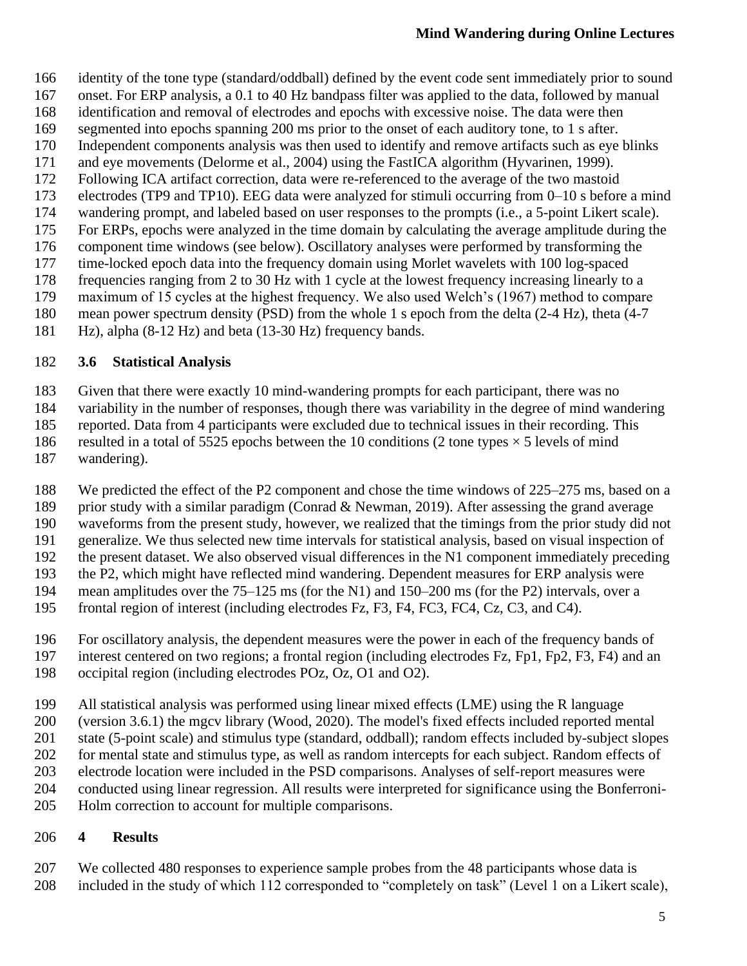- identity of the tone type (standard/oddball) defined by the event code sent immediately prior to sound
- onset. For ERP analysis, a 0.1 to 40 Hz bandpass filter was applied to the data, followed by manual
- identification and removal of electrodes and epochs with excessive noise. The data were then
- segmented into epochs spanning 200 ms prior to the onset of each auditory tone, to 1 s after.
- Independent components analysis was then used to identify and remove artifacts such as eye blinks
- and eye movements (Delorme et al., 2004) using the FastICA algorithm (Hyvarinen, 1999). Following ICA artifact correction, data were re-referenced to the average of the two mastoid
- electrodes (TP9 and TP10). EEG data were analyzed for stimuli occurring from 0–10 s before a mind
- 
- 174 wandering prompt, and labeled based on user responses to the prompts (i.e., a 5-point Likert scale).<br>175 For ERPs, epochs were analyzed in the time domain by calculating the average amplitude during the For ERPs, epochs were analyzed in the time domain by calculating the average amplitude during the
- component time windows (see below). Oscillatory analyses were performed by transforming the
- time-locked epoch data into the frequency domain using Morlet wavelets with 100 log-spaced
- 178 frequencies ranging from 2 to 30 Hz with 1 cycle at the lowest frequency increasing linearly to a maximum of 15 cycles at the highest frequency. We also used Welch's (1967) method to compar
- maximum of 15 cycles at the highest frequency. We also used Welch's (1967) method to compare
- mean power spectrum density (PSD) from the whole 1 s epoch from the delta (2-4 Hz), theta (4-7
- Hz), alpha (8-12 Hz) and beta (13-30 Hz) frequency bands.

### **3.6 Statistical Analysis**

Given that there were exactly 10 mind-wandering prompts for each participant, there was no

variability in the number of responses, though there was variability in the degree of mind wandering

reported. Data from 4 participants were excluded due to technical issues in their recording. This

186 resulted in a total of 5525 epochs between the 10 conditions (2 tone types  $\times$  5 levels of mind

wandering).

We predicted the effect of the P2 component and chose the time windows of 225–275 ms, based on a

189 prior study with a similar paradigm (Conrad & Newman, 2019). After assessing the grand average waveforms from the present study, however, we realized that the timings from the prior study did not

generalize. We thus selected new time intervals for statistical analysis, based on visual inspection of

the present dataset. We also observed visual differences in the N1 component immediately preceding

the P2, which might have reflected mind wandering. Dependent measures for ERP analysis were

mean amplitudes over the 75–125 ms (for the N1) and 150–200 ms (for the P2) intervals, over a

- frontal region of interest (including electrodes Fz, F3, F4, FC3, FC4, Cz, C3, and C4).
- For oscillatory analysis, the dependent measures were the power in each of the frequency bands of
- interest centered on two regions; a frontal region (including electrodes Fz, Fp1, Fp2, F3, F4) and an
- occipital region (including electrodes POz, Oz, O1 and O2).
- All statistical analysis was performed using linear mixed effects (LME) using the R language

(version 3.6.1) the mgcv library (Wood, 2020). The model's fixed effects included reported mental

state (5-point scale) and stimulus type (standard, oddball); random effects included by-subject slopes

- for mental state and stimulus type, as well as random intercepts for each subject. Random effects of
- electrode location were included in the PSD comparisons. Analyses of self-report measures were
- conducted using linear regression. All results were interpreted for significance using the Bonferroni-
- Holm correction to account for multiple comparisons.

# **4 Results**

We collected 480 responses to experience sample probes from the 48 participants whose data is

included in the study of which 112 corresponded to "completely on task" (Level 1 on a Likert scale),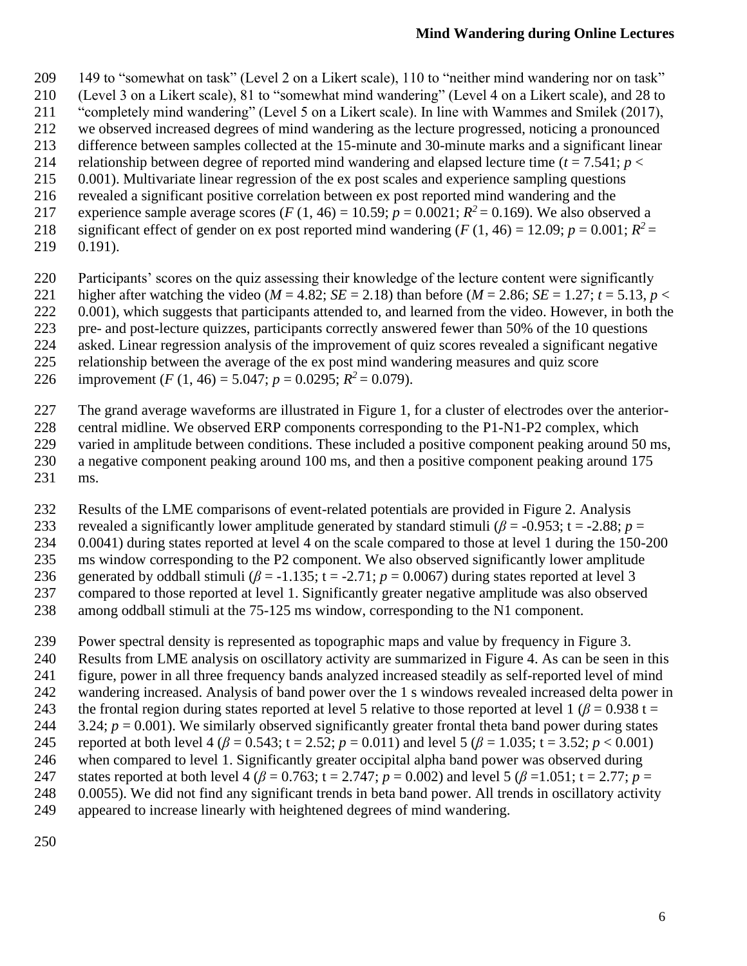- 149 to "somewhat on task" (Level 2 on a Likert scale), 110 to "neither mind wandering nor on task"
- (Level 3 on a Likert scale), 81 to "somewhat mind wandering" (Level 4 on a Likert scale), and 28 to
- "completely mind wandering" (Level 5 on a Likert scale). In line with Wammes and Smilek (2017),
- we observed increased degrees of mind wandering as the lecture progressed, noticing a pronounced
- difference between samples collected at the 15-minute and 30-minute marks and a significant linear
- 214 relationship between degree of reported mind wandering and elapsed lecture time  $(t = 7.541; p <$ 0.001). Multivariate linear regression of the ex post scales and experience sampling questions
- revealed a significant positive correlation between ex post reported mind wandering and the
- 217 experience sample average scores (*F* (1, 46) = 10.59;  $p = 0.0021$ ;  $R^2 = 0.169$ ). We also observed a
- significant effect of gender on ex post reported mind wandering  $(F (1, 46) = 12.09; p = 0.001; R^2 =$
- 0.191).
- Participants' scores on the quiz assessing their knowledge of the lecture content were significantly
- 221 higher after watching the video ( $M = 4.82$ ;  $SE = 2.18$ ) than before ( $M = 2.86$ ;  $SE = 1.27$ ;  $t = 5.13$ ,  $p <$
- 222 0.001), which suggests that participants attended to, and learned from the video. However, in both the
- pre- and post-lecture quizzes, participants correctly answered fewer than 50% of the 10 questions
- asked. Linear regression analysis of the improvement of quiz scores revealed a significant negative
- relationship between the average of the ex post mind wandering measures and quiz score
- 226 improvement (*F* (1, 46) = 5.047; *p* = 0.0295;  $R^2$  = 0.079).
- The grand average waveforms are illustrated in Figure 1, for a cluster of electrodes over the anterior-
- central midline. We observed ERP components corresponding to the P1-N1-P2 complex, which 229 varied in amplitude between conditions. These included a positive component peaking around 50 ms, a negative component peaking around 100 ms, and then a positive component peaking around 175
- ms.
- Results of the LME comparisons of event-related potentials are provided in Figure 2. Analysis
- 233 revealed a significantly lower amplitude generated by standard stimuli ( $\beta$  = -0.953; t = -2.88;  $p$  =
- 0.0041) during states reported at level 4 on the scale compared to those at level 1 during the 150-200
- ms window corresponding to the P2 component. We also observed significantly lower amplitude
- 236 generated by oddball stimuli  $(\beta = -1.135; t = -2.71; p = 0.0067)$  during states reported at level 3
- compared to those reported at level 1. Significantly greater negative amplitude was also observed
- among oddball stimuli at the 75-125 ms window, corresponding to the N1 component.
- Power spectral density is represented as topographic maps and value by frequency in Figure 3.
- Results from LME analysis on oscillatory activity are summarized in Figure 4. As can be seen in this
- figure, power in all three frequency bands analyzed increased steadily as self-reported level of mind
- wandering increased. Analysis of band power over the 1 s windows revealed increased delta power in
- 243 the frontal region during states reported at level 5 relative to those reported at level 1 ( $\beta$  = 0.938 t =
- 244  $3.24$ ;  $p = 0.001$ ). We similarly observed significantly greater frontal theta band power during states
- 245 reported at both level 4 (*β* = 0.543;  $t = 2.52$ ;  $p = 0.011$ ) and level 5 (*β* = 1.035;  $t = 3.52$ ;  $p < 0.001$ ) when compared to level 1. Significantly greater occipital alpha band power was observed during
- states reported at both level 4 (*β* = 0.763; t = 2.747; *p* = 0.002) and level 5 (*β* =1.051; t = 2.77; *p* =
- 0.0055). We did not find any significant trends in beta band power. All trends in oscillatory activity
- appeared to increase linearly with heightened degrees of mind wandering.
-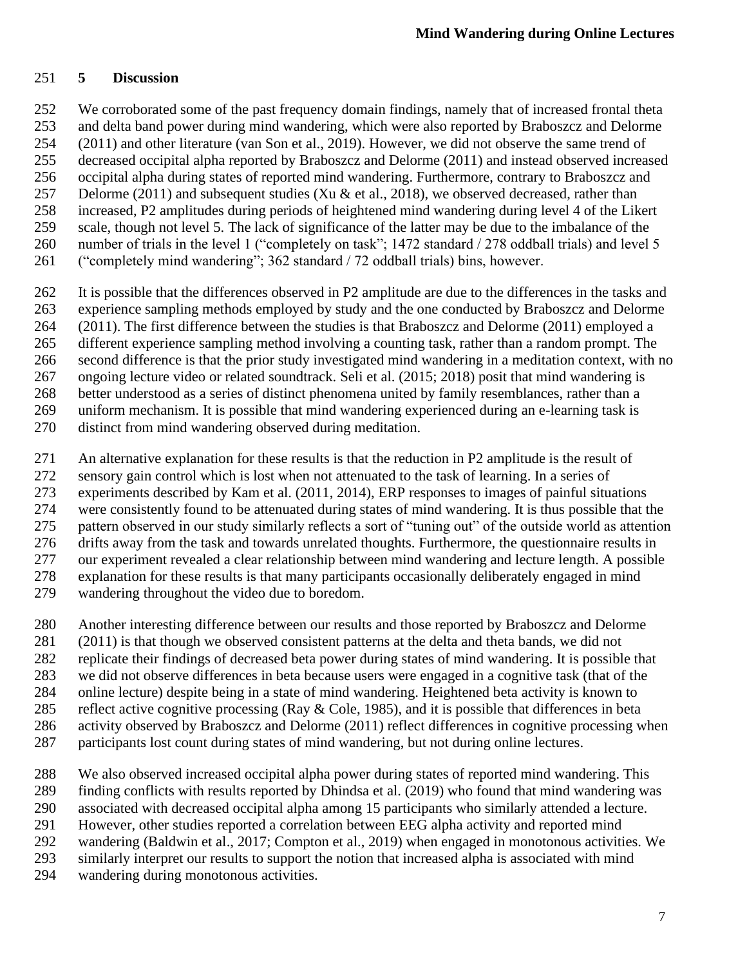#### **5 Discussion**

We corroborated some of the past frequency domain findings, namely that of increased frontal theta

 and delta band power during mind wandering, which were also reported by Braboszcz and Delorme (2011) and other literature (van Son et al., 2019). However, we did not observe the same trend of

decreased occipital alpha reported by Braboszcz and Delorme (2011) and instead observed increased

occipital alpha during states of reported mind wandering. Furthermore, contrary to Braboszcz and

- 257 Delorme (2011) and subsequent studies (Xu & et al., 2018), we observed decreased, rather than
- increased, P2 amplitudes during periods of heightened mind wandering during level 4 of the Likert
- scale, though not level 5. The lack of significance of the latter may be due to the imbalance of the
- 260 number of trials in the level 1 ("completely on task"; 1472 standard / 278 oddball trials) and level 5
- ("completely mind wandering"; 362 standard / 72 oddball trials) bins, however.
- It is possible that the differences observed in P2 amplitude are due to the differences in the tasks and
- experience sampling methods employed by study and the one conducted by Braboszcz and Delorme
- (2011). The first difference between the studies is that Braboszcz and Delorme (2011) employed a different experience sampling method involving a counting task, rather than a random prompt. The
- second difference is that the prior study investigated mind wandering in a meditation context, with no
- ongoing lecture video or related soundtrack. Seli et al. (2015; 2018) posit that mind wandering is
- better understood as a series of distinct phenomena united by family resemblances, rather than a
- uniform mechanism. It is possible that mind wandering experienced during an e-learning task is
- distinct from mind wandering observed during meditation.
- An alternative explanation for these results is that the reduction in P2 amplitude is the result of
- sensory gain control which is lost when not attenuated to the task of learning. In a series of
- experiments described by Kam et al. (2011, 2014), ERP responses to images of painful situations
- were consistently found to be attenuated during states of mind wandering. It is thus possible that the
- pattern observed in our study similarly reflects a sort of "tuning out" of the outside world as attention drifts away from the task and towards unrelated thoughts. Furthermore, the questionnaire results in
- our experiment revealed a clear relationship between mind wandering and lecture length. A possible
- explanation for these results is that many participants occasionally deliberately engaged in mind
- wandering throughout the video due to boredom.
- Another interesting difference between our results and those reported by Braboszcz and Delorme
- (2011) is that though we observed consistent patterns at the delta and theta bands, we did not
- replicate their findings of decreased beta power during states of mind wandering. It is possible that
- we did not observe differences in beta because users were engaged in a cognitive task (that of the
- online lecture) despite being in a state of mind wandering. Heightened beta activity is known to
- reflect active cognitive processing (Ray & Cole, 1985), and it is possible that differences in beta
- activity observed by Braboszcz and Delorme (2011) reflect differences in cognitive processing when
- participants lost count during states of mind wandering, but not during online lectures.
- We also observed increased occipital alpha power during states of reported mind wandering. This finding conflicts with results reported by Dhindsa et al. (2019) who found that mind wandering was
- associated with decreased occipital alpha among 15 participants who similarly attended a lecture.
- However, other studies reported a correlation between EEG alpha activity and reported mind
- wandering (Baldwin et al., 2017; Compton et al., 2019) when engaged in monotonous activities. We
- similarly interpret our results to support the notion that increased alpha is associated with mind
- wandering during monotonous activities.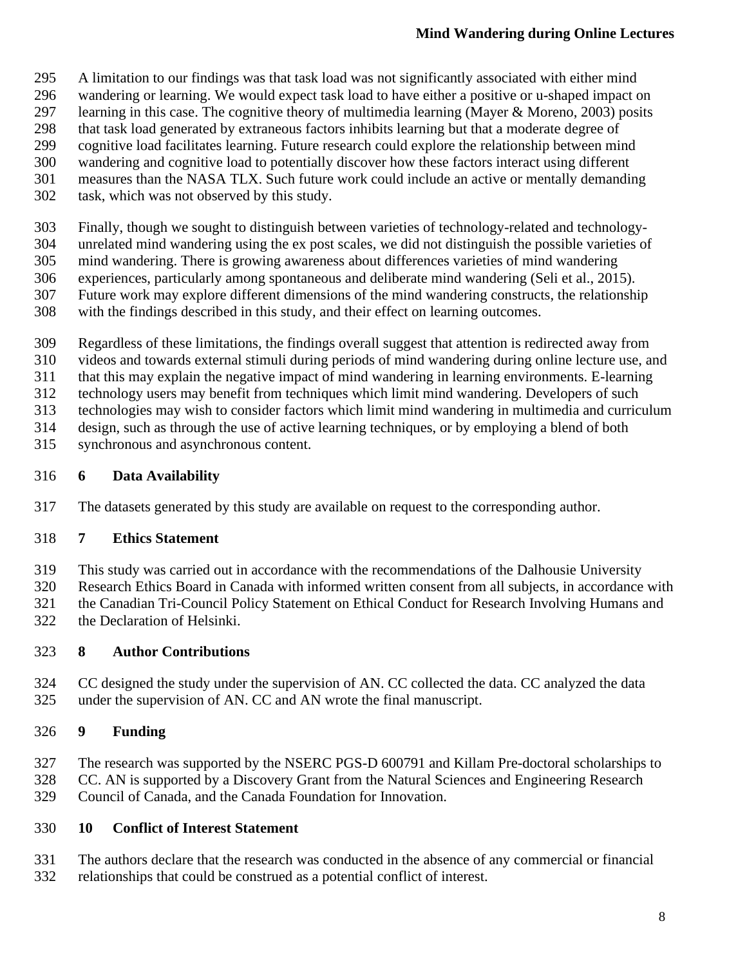- A limitation to our findings was that task load was not significantly associated with either mind
- wandering or learning. We would expect task load to have either a positive or u-shaped impact on
- learning in this case. The cognitive theory of multimedia learning (Mayer & Moreno, 2003) posits
- 298 that task load generated by extraneous factors inhibits learning but that a moderate degree of cognitive load facilitates learning. Future research could explore the relationship between min
- cognitive load facilitates learning. Future research could explore the relationship between mind
- wandering and cognitive load to potentially discover how these factors interact using different measures than the NASA TLX. Such future work could include an active or mentally demanding
- task, which was not observed by this study.
- Finally, though we sought to distinguish between varieties of technology-related and technology-
- unrelated mind wandering using the ex post scales, we did not distinguish the possible varieties of
- mind wandering. There is growing awareness about differences varieties of mind wandering
- experiences, particularly among spontaneous and deliberate mind wandering (Seli et al., 2015).
- Future work may explore different dimensions of the mind wandering constructs, the relationship
- with the findings described in this study, and their effect on learning outcomes.
- Regardless of these limitations, the findings overall suggest that attention is redirected away from
- videos and towards external stimuli during periods of mind wandering during online lecture use, and
- that this may explain the negative impact of mind wandering in learning environments. E-learning
- technology users may benefit from techniques which limit mind wandering. Developers of such
- technologies may wish to consider factors which limit mind wandering in multimedia and curriculum
- design, such as through the use of active learning techniques, or by employing a blend of both
- synchronous and asynchronous content.

### **6 Data Availability**

The datasets generated by this study are available on request to the corresponding author.

# **7 Ethics Statement**

- This study was carried out in accordance with the recommendations of the Dalhousie University
- Research Ethics Board in Canada with informed written consent from all subjects, in accordance with
- the Canadian Tri-Council Policy Statement on Ethical Conduct for Research Involving Humans and
- the Declaration of Helsinki.

# **8 Author Contributions**

 CC designed the study under the supervision of AN. CC collected the data. CC analyzed the data under the supervision of AN. CC and AN wrote the final manuscript.

# **9 Funding**

- The research was supported by the NSERC PGS-D 600791 and Killam Pre-doctoral scholarships to
- CC. AN is supported by a Discovery Grant from the Natural Sciences and Engineering Research
- Council of Canada, and the Canada Foundation for Innovation.

# **10 Conflict of Interest Statement**

- The authors declare that the research was conducted in the absence of any commercial or financial
- relationships that could be construed as a potential conflict of interest.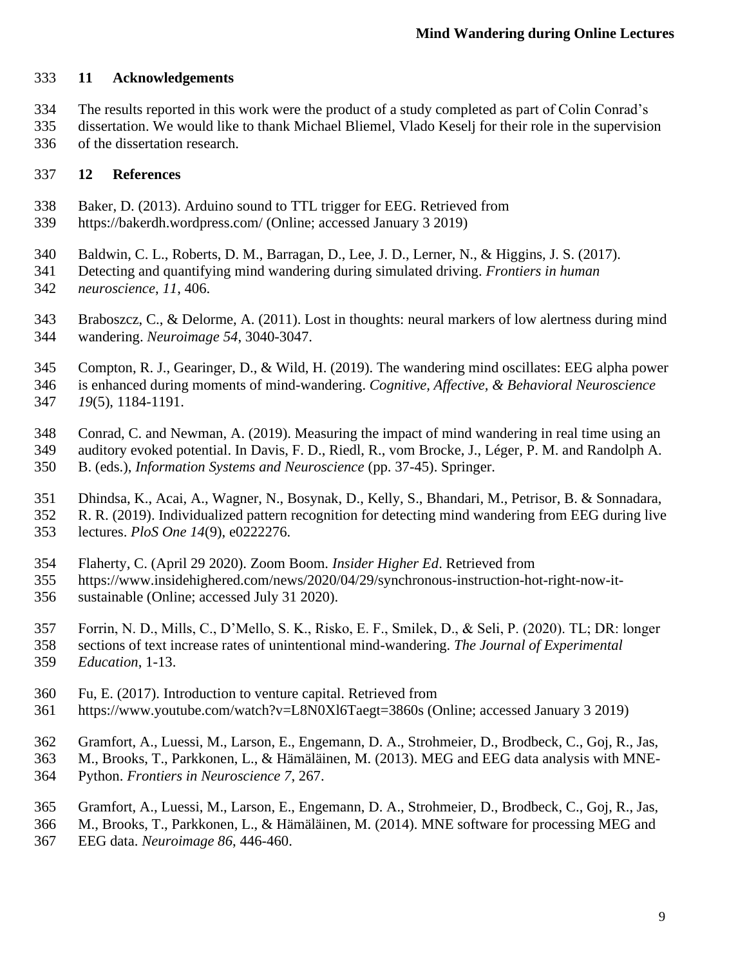#### **11 Acknowledgements**

- The results reported in this work were the product of a study completed as part of Colin Conrad's
- dissertation. We would like to thank Michael Bliemel, Vlado Keselj for their role in the supervision of the dissertation research.

#### **12 References**

- Baker, D. (2013). Arduino sound to TTL trigger for EEG. Retrieved from
- https://bakerdh.wordpress.com/ (Online; accessed January 3 2019)
- Baldwin, C. L., Roberts, D. M., Barragan, D., Lee, J. D., Lerner, N., & Higgins, J. S. (2017).
- Detecting and quantifying mind wandering during simulated driving. *Frontiers in human neuroscience*, *11*, 406.
- Braboszcz, C., & Delorme, A. (2011). Lost in thoughts: neural markers of low alertness during mind wandering. *Neuroimage 54*, 3040-3047.
- Compton, R. J., Gearinger, D., & Wild, H. (2019). The wandering mind oscillates: EEG alpha power is enhanced during moments of mind-wandering. *Cognitive, Affective, & Behavioral Neuroscience 19*(5), 1184-1191.
- Conrad, C. and Newman, A. (2019). Measuring the impact of mind wandering in real time using an
- auditory evoked potential. In Davis, F. D., Riedl, R., vom Brocke, J., Léger, P. M. and Randolph A. B. (eds.), *Information Systems and Neuroscience* (pp. 37-45). Springer.
- Dhindsa, K., Acai, A., Wagner, N., Bosynak, D., Kelly, S., Bhandari, M., Petrisor, B. & Sonnadara,
- R. R. (2019). Individualized pattern recognition for detecting mind wandering from EEG during live
- lectures. *PloS One 14*(9), e0222276.
- Flaherty, C. (April 29 2020). Zoom Boom. *Insider Higher Ed*. Retrieved from
- https://www.insidehighered.com/news/2020/04/29/synchronous-instruction-hot-right-now-it-
- sustainable (Online; accessed July 31 2020).
- Forrin, N. D., Mills, C., D'Mello, S. K., Risko, E. F., Smilek, D., & Seli, P. (2020). TL; DR: longer
- sections of text increase rates of unintentional mind-wandering. *The Journal of Experimental Education*, 1-13.
- Fu, E. (2017). Introduction to venture capital. Retrieved from
- https://www.youtube.com/watch?v=L8N0Xl6Taegt=3860s (Online; accessed January 3 2019)
- Gramfort, A., Luessi, M., Larson, E., Engemann, D. A., Strohmeier, D., Brodbeck, C., Goj, R., Jas,
- M., Brooks, T., Parkkonen, L., & Hämäläinen, M. (2013). MEG and EEG data analysis with MNE-Python. *Frontiers in Neuroscience 7*, 267.
- Gramfort, A., Luessi, M., Larson, E., Engemann, D. A., Strohmeier, D., Brodbeck, C., Goj, R., Jas,
- M., Brooks, T., Parkkonen, L., & Hämäläinen, M. (2014). MNE software for processing MEG and
- EEG data. *Neuroimage 86*, 446-460.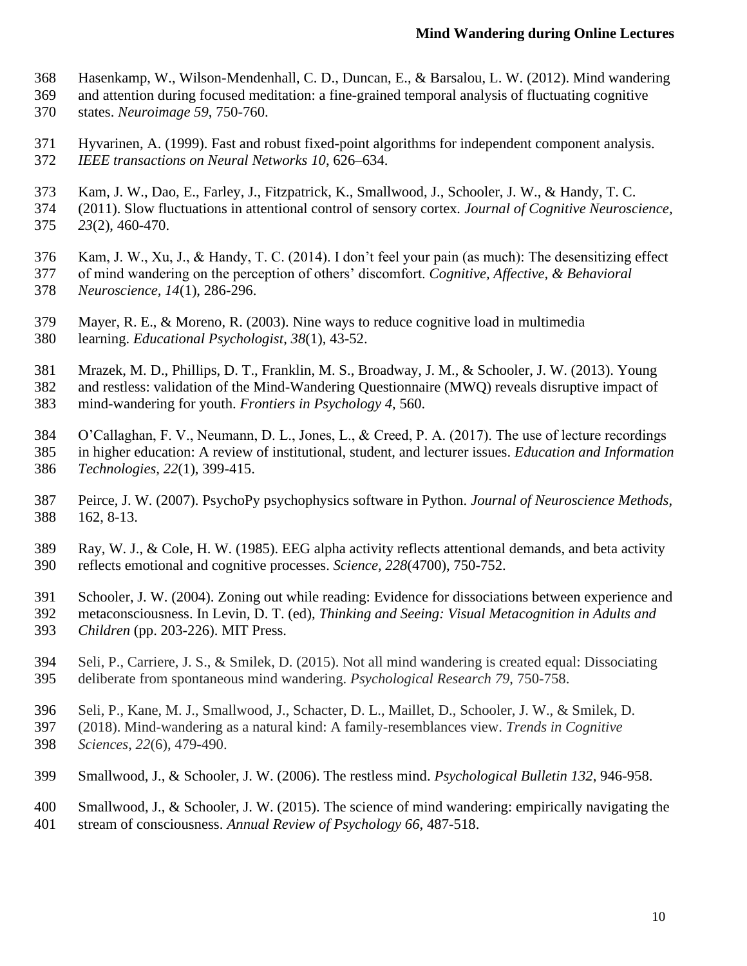- Hasenkamp, W., Wilson-Mendenhall, C. D., Duncan, E., & Barsalou, L. W. (2012). Mind wandering
- and attention during focused meditation: a fine-grained temporal analysis of fluctuating cognitive
- states. *Neuroimage 59*, 750-760.
- Hyvarinen, A. (1999). Fast and robust fixed-point algorithms for independent component analysis. *IEEE transactions on Neural Networks 10*, 626–634.
- Kam, J. W., Dao, E., Farley, J., Fitzpatrick, K., Smallwood, J., Schooler, J. W., & Handy, T. C.
- (2011). Slow fluctuations in attentional control of sensory cortex*. Journal of Cognitive Neuroscience, 23*(2), 460-470.
- Kam, J. W., Xu, J., & Handy, T. C. (2014). I don't feel your pain (as much): The desensitizing effect
- of mind wandering on the perception of others' discomfort. *Cognitive, Affective, & Behavioral Neuroscience, 14*(1), 286-296.
- Mayer, R. E., & Moreno, R. (2003). Nine ways to reduce cognitive load in multimedia learning. *Educational Psychologist*, *38*(1), 43-52.
- Mrazek, M. D., Phillips, D. T., Franklin, M. S., Broadway, J. M., & Schooler, J. W. (2013). Young and restless: validation of the Mind-Wandering Questionnaire (MWQ) reveals disruptive impact of
- mind-wandering for youth. *Frontiers in Psychology 4*, 560.
- O'Callaghan, F. V., Neumann, D. L., Jones, L., & Creed, P. A. (2017). The use of lecture recordings in higher education: A review of institutional, student, and lecturer issues. *Education and Information*
- *Technologies, 22*(1), 399-415.
- Peirce, J. W. (2007). PsychoPy psychophysics software in Python. *Journal of Neuroscience Methods*, 162, 8-13.
- Ray, W. J., & Cole, H. W. (1985). EEG alpha activity reflects attentional demands, and beta activity reflects emotional and cognitive processes. *Science, 228*(4700), 750-752.
- Schooler, J. W. (2004). Zoning out while reading: Evidence for dissociations between experience and
- metaconsciousness. In Levin, D. T. (ed), *Thinking and Seeing: Visual Metacognition in Adults and Children* (pp. 203-226). MIT Press.
- Seli, P., Carriere, J. S., & Smilek, D. (2015). Not all mind wandering is created equal: Dissociating deliberate from spontaneous mind wandering. *Psychological Research 79*, 750-758.
- Seli, P., Kane, M. J., Smallwood, J., Schacter, D. L., Maillet, D., Schooler, J. W., & Smilek, D.
- (2018). Mind-wandering as a natural kind: A family-resemblances view. *Trends in Cognitive*
- *Sciences*, *22*(6), 479-490.
- Smallwood, J., & Schooler, J. W. (2006). The restless mind. *Psychological Bulletin 132*, 946-958.
- Smallwood, J., & Schooler, J. W. (2015). The science of mind wandering: empirically navigating the
- stream of consciousness. *Annual Review of Psychology 66*, 487-518.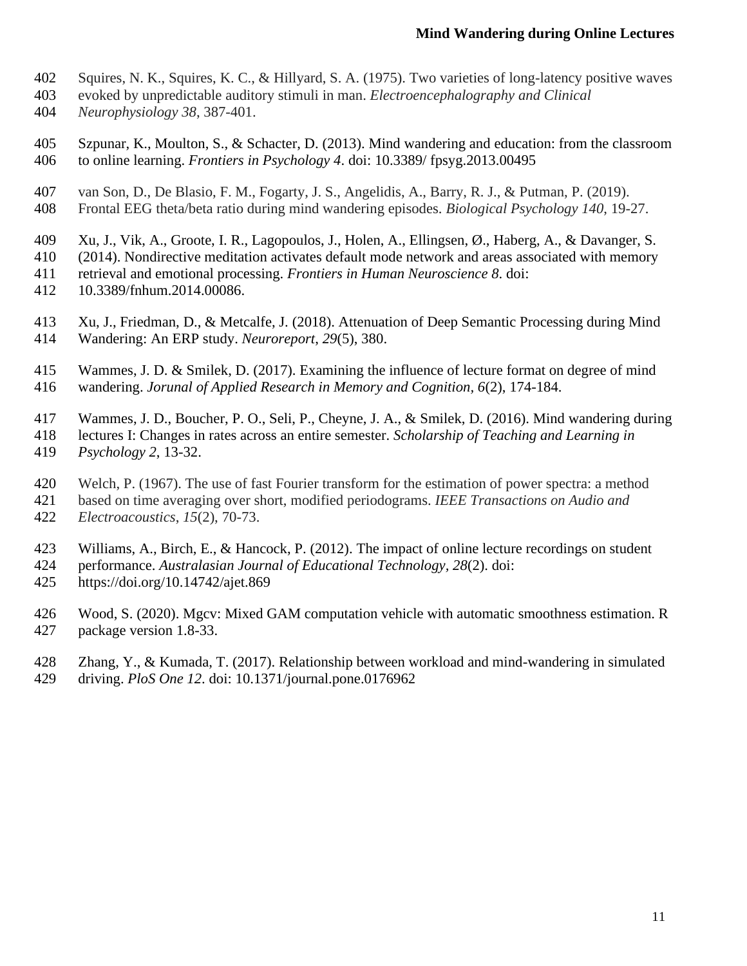- Squires, N. K., Squires, K. C., & Hillyard, S. A. (1975). Two varieties of long-latency positive waves
- evoked by unpredictable auditory stimuli in man. *Electroencephalography and Clinical*
- *Neurophysiology 38*, 387-401.
- Szpunar, K., Moulton, S., & Schacter, D. (2013). Mind wandering and education: from the classroom to online learning. *Frontiers in Psychology 4*. doi: 10.3389/ fpsyg.2013.00495
- van Son, D., De Blasio, F. M., Fogarty, J. S., Angelidis, A., Barry, R. J., & Putman, P. (2019).
- Frontal EEG theta/beta ratio during mind wandering episodes. *Biological Psychology 140*, 19-27.
- Xu, J., Vik, A., Groote, I. R., Lagopoulos, J., Holen, A., Ellingsen, Ø., Haberg, A., & Davanger, S.
- (2014). Nondirective meditation activates default mode network and areas associated with memory
- retrieval and emotional processing. *Frontiers in Human Neuroscience 8*. doi:
- 10.3389/fnhum.2014.00086.
- Xu, J., Friedman, D., & Metcalfe, J. (2018). Attenuation of Deep Semantic Processing during Mind Wandering: An ERP study. *Neuroreport*, *29*(5), 380.
- Wammes, J. D. & Smilek, D. (2017). Examining the influence of lecture format on degree of mind wandering. *Jorunal of Applied Research in Memory and Cognition, 6*(2), 174-184.
- Wammes, J. D., Boucher, P. O., Seli, P., Cheyne, J. A., & Smilek, D. (2016). Mind wandering during
- lectures I: Changes in rates across an entire semester. *Scholarship of Teaching and Learning in Psychology 2*, 13-32.
- Welch, P. (1967). The use of fast Fourier transform for the estimation of power spectra: a method
- based on time averaging over short, modified periodograms. *IEEE Transactions on Audio and Electroacoustics*, *15*(2), 70-73.
- 
- Williams, A., Birch, E., & Hancock, P. (2012). The impact of online lecture recordings on student
- performance. *Australasian Journal of Educational Technology, 28*(2). doi:
- https://doi.org/10.14742/ajet.869
- Wood, S. (2020). Mgcv: Mixed GAM computation vehicle with automatic smoothness estimation. R package version 1.8-33.
- Zhang, Y., & Kumada, T. (2017). Relationship between workload and mind-wandering in simulated
- driving. *PloS One 12*. doi: 10.1371/journal.pone.0176962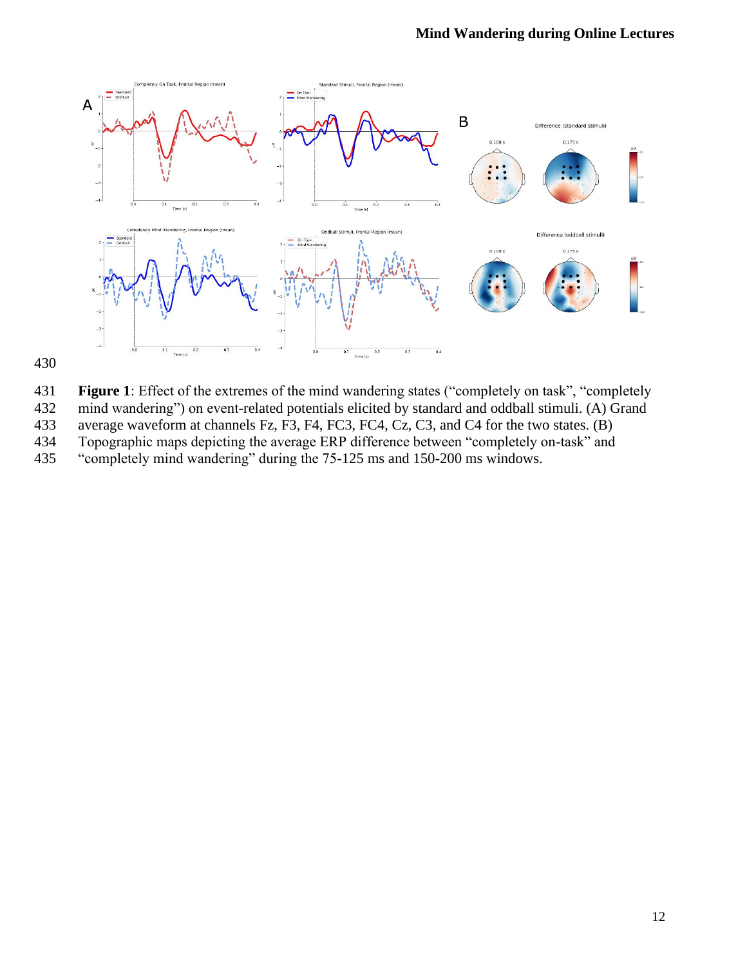

**Figure 1**: Effect of the extremes of the mind wandering states ("completely on task", "completely

mind wandering") on event-related potentials elicited by standard and oddball stimuli. (A) Grand

average waveform at channels Fz, F3, F4, FC3, FC4, Cz, C3, and C4 for the two states. (B)

Topographic maps depicting the average ERP difference between "completely on-task" and

"completely mind wandering" during the 75-125 ms and 150-200 ms windows.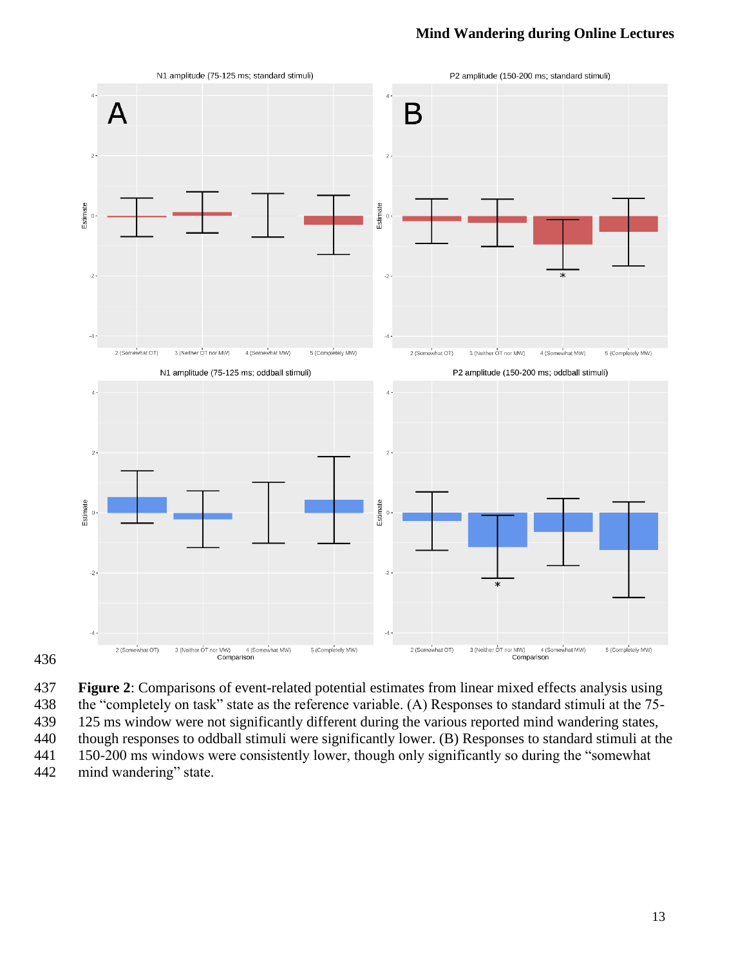





125 ms window were not significantly different during the various reported mind wandering states,

though responses to oddball stimuli were significantly lower. (B) Responses to standard stimuli at the

150-200 ms windows were consistently lower, though only significantly so during the "somewhat

mind wandering" state.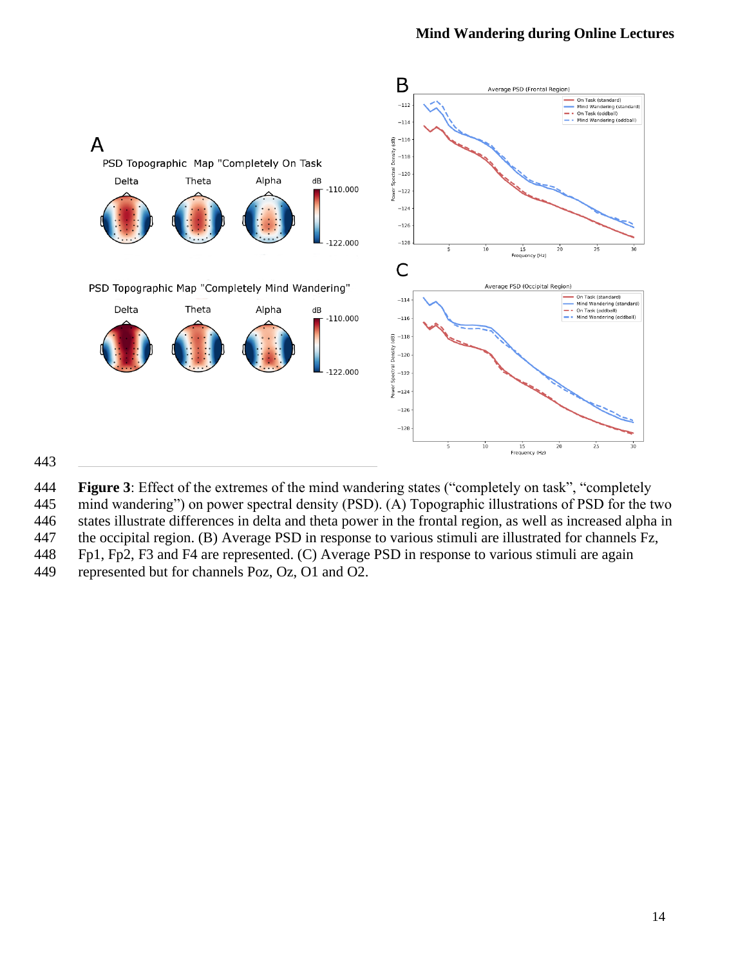

#### 

**Figure 3**: Effect of the extremes of the mind wandering states ("completely on task", "completely

- mind wandering") on power spectral density (PSD). (A) Topographic illustrations of PSD for the two
- states illustrate differences in delta and theta power in the frontal region, as well as increased alpha in
- the occipital region. (B) Average PSD in response to various stimuli are illustrated for channels Fz,
- Fp1, Fp2, F3 and F4 are represented. (C) Average PSD in response to various stimuli are again
- represented but for channels Poz, Oz, O1 and O2.